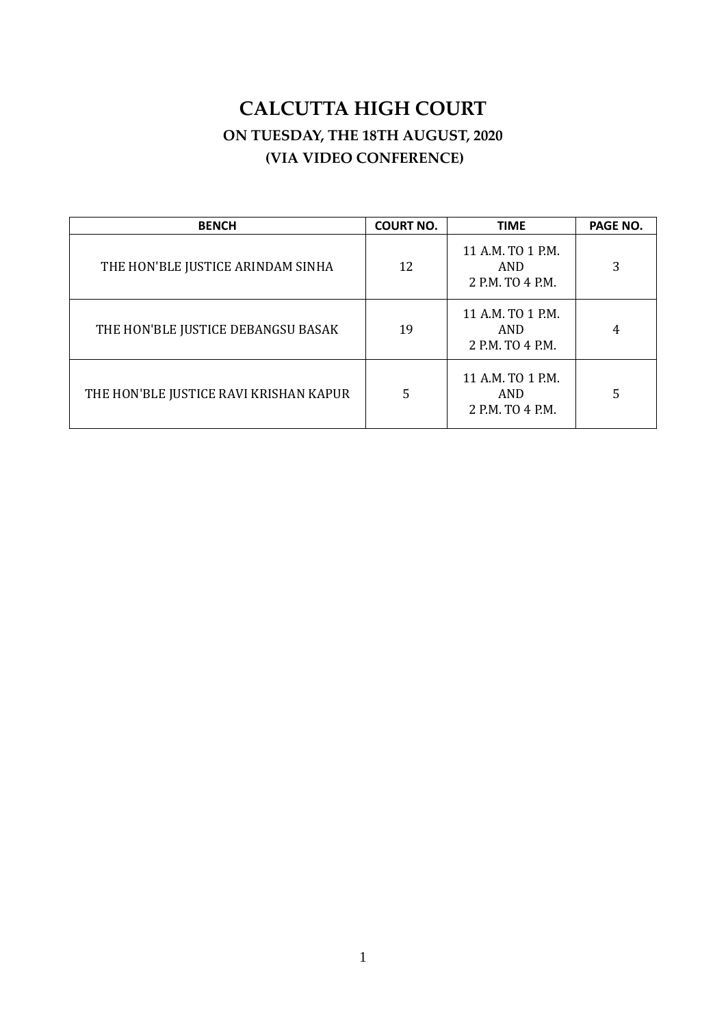# **CALCUTTA HIGH COURT ON TUESDAY, THE 18TH AUGUST, 2020 (VIA VIDEO CONFERENCE)**

<span id="page-0-0"></span>

| <b>BENCH</b>                           | <b>COURT NO.</b> | <b>TIME</b>                                         | PAGE NO. |
|----------------------------------------|------------------|-----------------------------------------------------|----------|
| THE HON'BLE JUSTICE ARINDAM SINHA      | 12               | 11 A.M. TO 1 P.M.<br><b>AND</b><br>2 P.M. TO 4 P.M. | 3        |
| THE HON'BLE JUSTICE DEBANGSU BASAK     | 19               | 11 A.M. TO 1 P.M.<br>AND<br>2 P.M. TO 4 P.M.        | 4        |
| THE HON'BLE JUSTICE RAVI KRISHAN KAPUR | 5                | 11 A.M. TO 1 P.M.<br>AND<br>2 P.M. TO 4 P.M.        | 5        |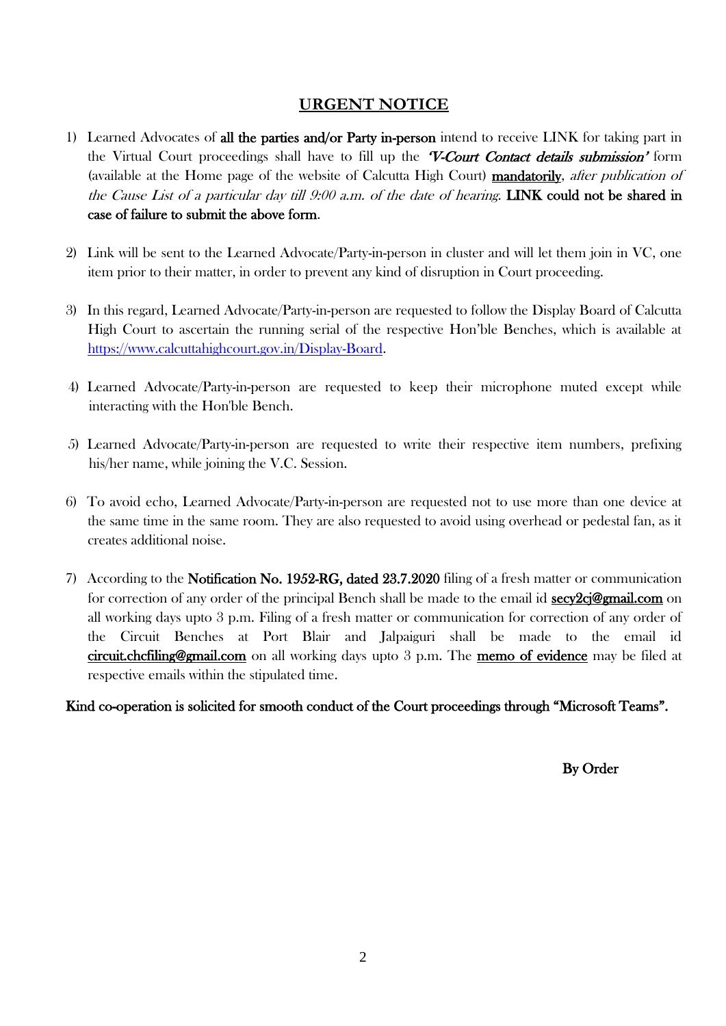# **URGENT NOTICE**

- 1) Learned Advocates of all the parties and/or Party in-person intend to receive LINK for taking part in the Virtual Court proceedings shall have to fill up the **V-Court Contact details submission'** form (available at the Home page of the website of Calcutta High Court) mandatorily, after publication of the Cause List of a particular day till 9:00 a.m. of the date of hearing. LINK could not be shared in case of failure to submit the above form.
- 2) Link will be sent to the Learned Advocate/Party-in-person in cluster and will let them join in VC, one item prior to their matter, in order to prevent any kind of disruption in Court proceeding.
- 3) In this regard, Learned Advocate/Party-in-person are requested to follow the Display Board of Calcutta High Court to ascertain the running serial of the respective Hon'ble Benches, which is available at [https://www.calcuttahighcourt.gov.in/Display-Board.](https://www.calcuttahighcourt.gov.in/Display-Board)
- 4) Learned Advocate/Party-in-person are requested to keep their microphone muted except while interacting with the Hon'ble Bench.
- 5) Learned Advocate/Party-in-person are requested to write their respective item numbers, prefixing his/her name, while joining the V.C. Session.
- 6) To avoid echo, Learned Advocate/Party-in-person are requested not to use more than one device at the same time in the same room. They are also requested to avoid using overhead or pedestal fan, as it creates additional noise.
- 7) According to the Notification No. 1952-RG, dated 23.7.2020 filing of a fresh matter or communication for correction of any order of the principal Bench shall be made to the email id  $\frac{\sec 2c}{\sec 2c}$  and  $\cos$ all working days upto 3 p.m. Filing of a fresh matter or communication for correction of any order of the Circuit Benches at Port Blair and Jalpaiguri shall be made to the email id [circuit.chcfiling@gmail.com](mailto:circuit.chcfiling@gmail.com) on all working days upto 3 p.m. The memo of evidence may be filed at respective emails within the stipulated time.

# Kind co-operation is solicited for smooth conduct of the Court proceedings through "Microsoft Teams".

By Order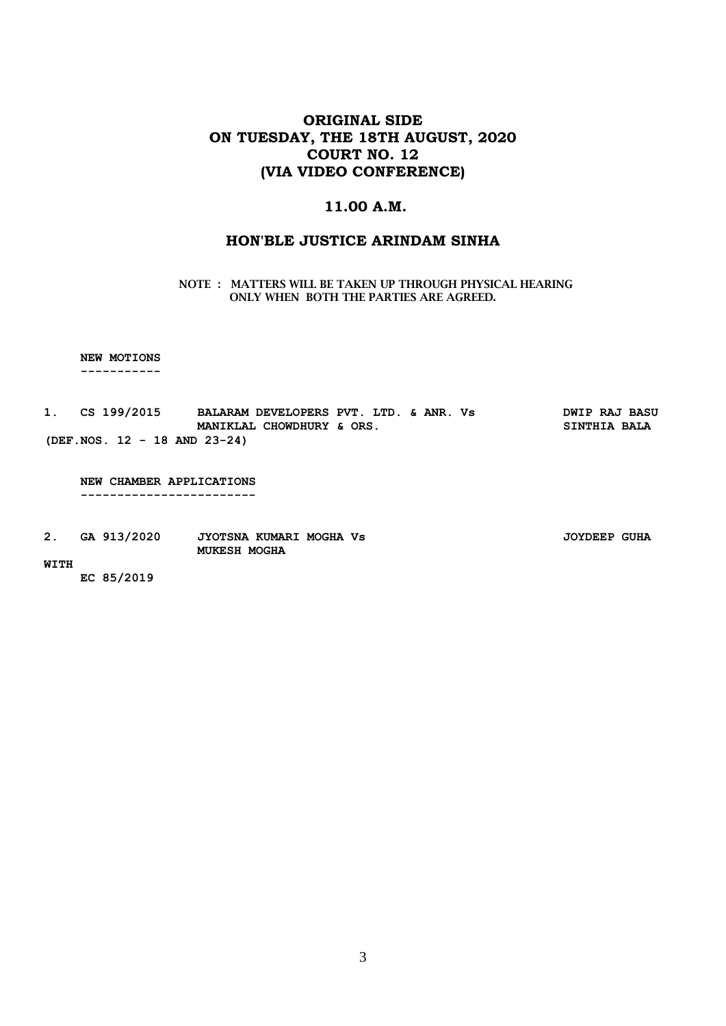# **ORIGINAL SIDE ON TUESDAY, THE 18TH AUGUST, 2020 COURT NO. 12 (VIA VIDEO CONFERENCE)**

### **11.00 A.M.**

### **HON'BLE JUSTICE [ARINDAM SINHA](#page-0-0)**

#### **NOTE : MATTERS WILL BE TAKEN UP THROUGH PHYSICAL HEARING ONLY WHEN BOTH THE PARTIES ARE AGREED.**

 **NEW MOTIONS**

 **-----------**

| 1. CS 199/2015 |  |  |                                 | BALARAM DEVELOPERS PVT. LTD. & ANR. Vs |  |  |  |                     | <b>DWIP RAJ BASU</b> |
|----------------|--|--|---------------------------------|----------------------------------------|--|--|--|---------------------|----------------------|
|                |  |  |                                 | MANIKLAL CHOWDHURY & ORS.              |  |  |  | <b>SINTHIA BALA</b> |                      |
|                |  |  | $(DEF. NOS. 12 - 18 AND 23-24)$ |                                        |  |  |  |                     |                      |

 **NEW CHAMBER APPLICATIONS ------------------------**

**2. GA 913/2020 JYOTSNA KUMARI MOGHA Vs JOYDEEP GUHA MUKESH MOGHA** 

#### **WITH**

 **EC 85/2019**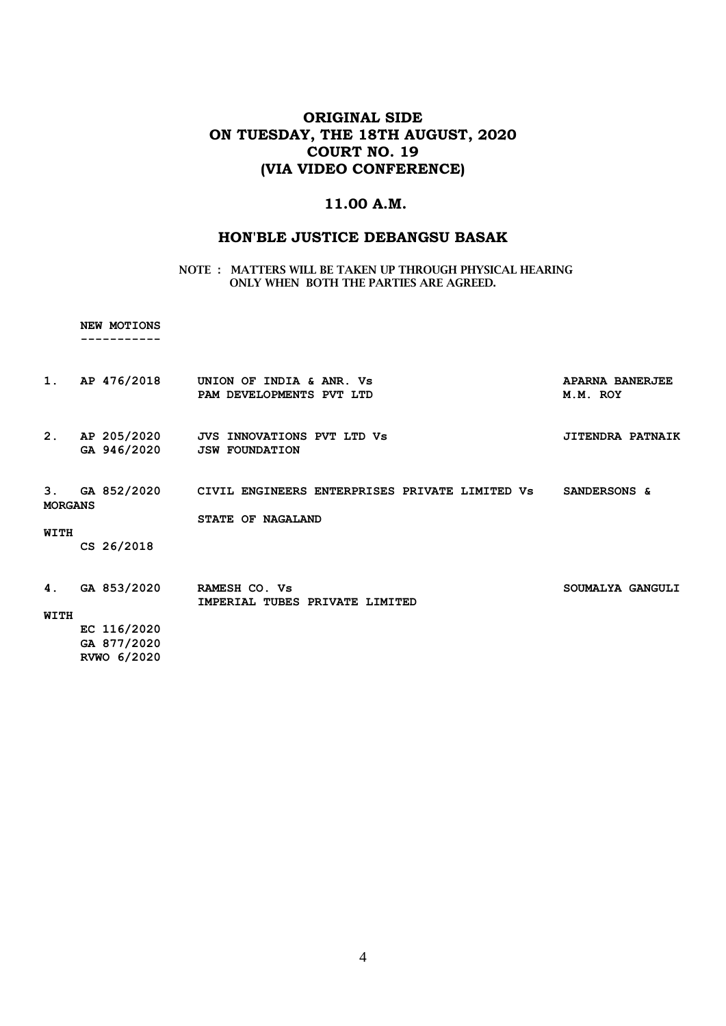# **ORIGINAL SIDE ON TUESDAY, THE 18TH AUGUST, 2020 COURT NO. 19 (VIA VIDEO CONFERENCE)**

### **11.00 A.M.**

### **HON'BLE JUSTICE DEBANGSU BASAK**

**NOTE : MATTERS WILL BE TAKEN UP THROUGH PHYSICAL HEARING ONLY WHEN BOTH THE PARTIES ARE AGREED.**

 **NEW MOTIONS**

|  |  |  |  |  | ----------- |  |
|--|--|--|--|--|-------------|--|
|  |  |  |  |  |             |  |

| 1.                   | AP 476/2018                | UNION OF INDIA & ANR. Vs<br>PAM DEVELOPMENTS PVT LTD                          | APARNA BANERJEE<br>M.M. ROY |
|----------------------|----------------------------|-------------------------------------------------------------------------------|-----------------------------|
| 2.                   | AP 205/2020<br>GA 946/2020 | <b>JVS INNOVATIONS PVT LTD Vs</b><br><b>JSW FOUNDATION</b>                    | <b>JITENDRA PATNAIK</b>     |
| 3.<br><b>MORGANS</b> | GA 852/2020                | CIVIL ENGINEERS ENTERPRISES PRIVATE LIMITED Vs<br>STATE OF<br><b>NAGALAND</b> | SANDERSONS &                |
| WITH                 |                            |                                                                               |                             |
|                      | CS 26/2018                 |                                                                               |                             |
|                      |                            |                                                                               |                             |
| 4.                   | GA 853/2020                | RAMESH CO. Vs<br>IMPERIAL TUBES PRIVATE LIMITED                               | SOUMALYA GANGULI            |
| WITH                 |                            |                                                                               |                             |
|                      | EC 116/2020                |                                                                               |                             |

 **GA 877/2020 RVWO 6/2020**